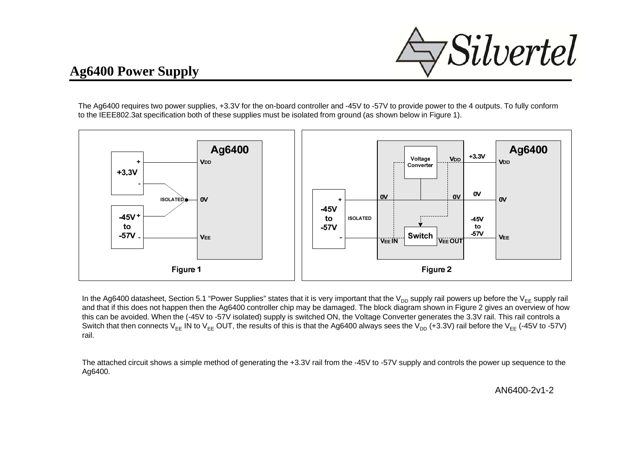

## **Ag6400 Power Supply**

The Ag6400 requires two power supplies, +3.3V for the on-board controller and -45V to -57V to provide power to the 4 outputs. To fully conform to the IEEE802.3at specification both of these supplies must be isolated from ground (as shown below in Figure 1).



In the Ag6400 datasheet, Section 5.1 "Power Supplies" states that it is very important that the V<sub>DD</sub> supply rail powers up before the V<sub>EE</sub> supply rail and that if this does not happen then the Ag6400 controller chip may be damaged. The block diagram shown in Figure 2 gives an overview of how this can be avoided. When the (-45V to -57V isolated) supply is switched ON, the Voltage Converter generates the 3.3V rail. This rail controls a Switch that then connects V<sub>EE</sub> IN to V<sub>EE</sub> OUT, the results of this is that the Ag6400 always sees the V<sub>DD</sub> (+3.3V) rail before the V<sub>EE</sub> (-45V to -57V) rail.

The attached circuit shows a simple method of generating the +3.3V rail from the -45V to -57V supply and controls the power up sequence to the Ag6400.

AN6400-2v1-2